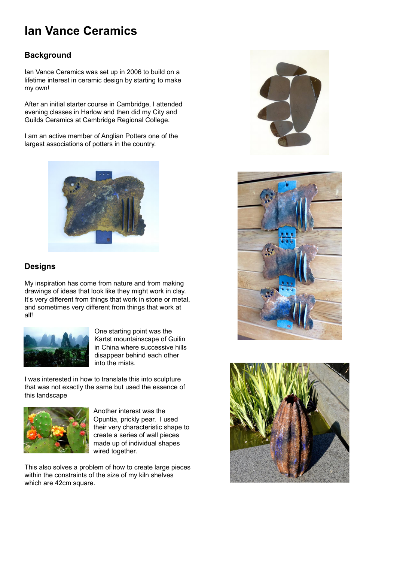# **Ian Vance Ceramics**

### **Background**

Ian Vance Ceramics was set up in 2006 to build on a lifetime interest in ceramic design by starting to make my own!

After an initial starter course in Cambridge, I attended evening classes in Harlow and then did my City and Guilds Ceramics at Cambridge Regional College.

I am an active member of Anglian Potters one of the largest associations of potters in the country.



### **Designs**

My inspiration has come from nature and from making drawings of ideas that look like they might work in clay. It's very different from things that work in stone or metal, and sometimes very different from things that work at all!







One starting point was the Kartst mountainscape of Guilin in China where successive hills disappear behind each other into the mists.

I was interested in how to translate this into sculpture that was not exactly the same but used the essence of this landscape



Another interest was the Opuntia, prickly pear. I used their very characteristic shape to create a series of wall pieces made up of individual shapes wired together.

This also solves a problem of how to create large pieces within the constraints of the size of my kiln shelves which are 42cm square.